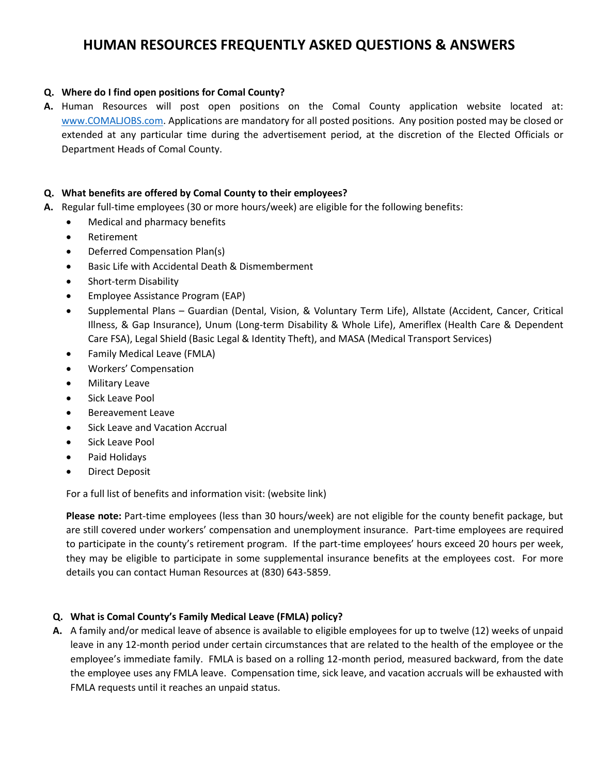# **HUMAN RESOURCES FREQUENTLY ASKED QUESTIONS & ANSWERS**

### **Q. Where do I find open positions for Comal County?**

**A.** Human Resources will post open positions on the Comal County application website located at: [www.COMALJOBS.com.](http://www.comaljobs.com/) Applications are mandatory for all posted positions. Any position posted may be closed or extended at any particular time during the advertisement period, at the discretion of the Elected Officials or Department Heads of Comal County.

### **Q. What benefits are offered by Comal County to their employees?**

- **A.** Regular full-time employees (30 or more hours/week) are eligible for the following benefits:
	- Medical and pharmacy benefits
		- Retirement
		- Deferred Compensation Plan(s)
		- Basic Life with Accidental Death & Dismemberment
		- Short-term Disability
		- Employee Assistance Program (EAP)
		- Supplemental Plans Guardian (Dental, Vision, & Voluntary Term Life), Allstate (Accident, Cancer, Critical Illness, & Gap Insurance), Unum (Long-term Disability & Whole Life), Ameriflex (Health Care & Dependent Care FSA), Legal Shield (Basic Legal & Identity Theft), and MASA (Medical Transport Services)
		- Family Medical Leave (FMLA)
		- Workers' Compensation
		- Military Leave
		- Sick Leave Pool
		- Bereavement Leave
		- Sick Leave and Vacation Accrual
		- Sick Leave Pool
		- Paid Holidays
		- Direct Deposit

For a full list of benefits and information visit: (website link)

**Please note:** Part-time employees (less than 30 hours/week) are not eligible for the county benefit package, but are still covered under workers' compensation and unemployment insurance. Part-time employees are required to participate in the county's retirement program. If the part-time employees' hours exceed 20 hours per week, they may be eligible to participate in some supplemental insurance benefits at the employees cost. For more details you can contact Human Resources at (830) 643-5859.

## **Q. What is Comal County's Family Medical Leave (FMLA) policy?**

**A.** A family and/or medical leave of absence is available to eligible employees for up to twelve (12) weeks of unpaid leave in any 12-month period under certain circumstances that are related to the health of the employee or the employee's immediate family. FMLA is based on a rolling 12-month period, measured backward, from the date the employee uses any FMLA leave. Compensation time, sick leave, and vacation accruals will be exhausted with FMLA requests until it reaches an unpaid status.